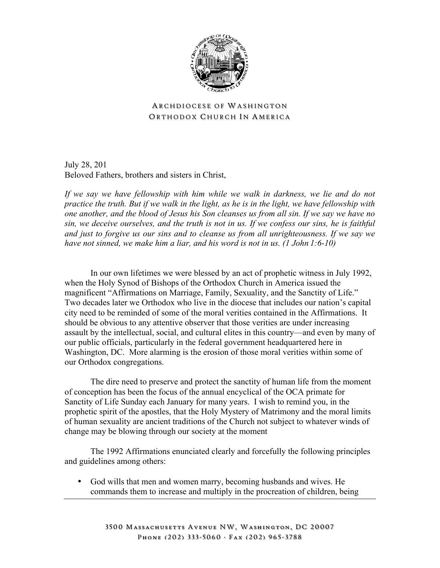

## ARCHDIOCESE OF WASHINGTON ORTHODOX CHURCH IN AMERICA

July 28, 201 Beloved Fathers, brothers and sisters in Christ,

If we say we have fellowship with him while we walk in darkness, we lie and do not *practice the truth. But if we walk in the light, as he is in the light, we have fellowship with one another, and the blood of Jesus his Son cleanses us from all sin. If we say we have no sin, we deceive ourselves, and the truth is not in us. If we confess our sins, he is faithful and just to forgive us our sins and to cleanse us from all unrighteousness. If we say we have not sinned, we make him a liar, and his word is not in us. (1 John 1:6-10)*

In our own lifetimes we were blessed by an act of prophetic witness in July 1992, when the Holy Synod of Bishops of the Orthodox Church in America issued the magnificent "Affirmations on Marriage, Family, Sexuality, and the Sanctity of Life." Two decades later we Orthodox who live in the diocese that includes our nation's capital city need to be reminded of some of the moral verities contained in the Affirmations. It should be obvious to any attentive observer that those verities are under increasing assault by the intellectual, social, and cultural elites in this country—and even by many of our public officials, particularly in the federal government headquartered here in Washington, DC. More alarming is the erosion of those moral verities within some of our Orthodox congregations.

The dire need to preserve and protect the sanctity of human life from the moment of conception has been the focus of the annual encyclical of the OCA primate for Sanctity of Life Sunday each January for many years. I wish to remind you, in the prophetic spirit of the apostles, that the Holy Mystery of Matrimony and the moral limits of human sexuality are ancient traditions of the Church not subject to whatever winds of change may be blowing through our society at the moment

The 1992 Affirmations enunciated clearly and forcefully the following principles and guidelines among others:

• God wills that men and women marry, becoming husbands and wives. He commands them to increase and multiply in the procreation of children, being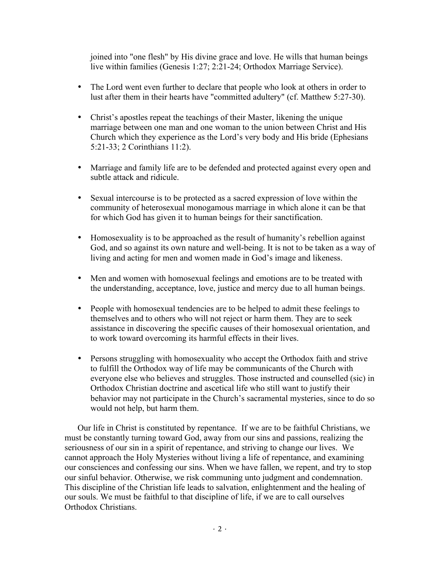joined into "one flesh" by His divine grace and love. He wills that human beings live within families (Genesis 1:27; 2:21-24; Orthodox Marriage Service).

- The Lord went even further to declare that people who look at others in order to lust after them in their hearts have "committed adultery" (cf. Matthew 5:27-30).
- Christ's apostles repeat the teachings of their Master, likening the unique marriage between one man and one woman to the union between Christ and His Church which they experience as the Lord's very body and His bride (Ephesians 5:21-33; 2 Corinthians 11:2).
- Marriage and family life are to be defended and protected against every open and subtle attack and ridicule.
- Sexual intercourse is to be protected as a sacred expression of love within the community of heterosexual monogamous marriage in which alone it can be that for which God has given it to human beings for their sanctification.
- Homosexuality is to be approached as the result of humanity's rebellion against God, and so against its own nature and well-being. It is not to be taken as a way of living and acting for men and women made in God's image and likeness.
- Men and women with homosexual feelings and emotions are to be treated with the understanding, acceptance, love, justice and mercy due to all human beings.
- People with homosexual tendencies are to be helped to admit these feelings to themselves and to others who will not reject or harm them. They are to seek assistance in discovering the specific causes of their homosexual orientation, and to work toward overcoming its harmful effects in their lives.
- Persons struggling with homosexuality who accept the Orthodox faith and strive to fulfill the Orthodox way of life may be communicants of the Church with everyone else who believes and struggles. Those instructed and counselled (sic) in Orthodox Christian doctrine and ascetical life who still want to justify their behavior may not participate in the Church's sacramental mysteries, since to do so would not help, but harm them.

Our life in Christ is constituted by repentance. If we are to be faithful Christians, we must be constantly turning toward God, away from our sins and passions, realizing the seriousness of our sin in a spirit of repentance, and striving to change our lives. We cannot approach the Holy Mysteries without living a life of repentance, and examining our consciences and confessing our sins. When we have fallen, we repent, and try to stop our sinful behavior. Otherwise, we risk communing unto judgment and condemnation. This discipline of the Christian life leads to salvation, enlightenment and the healing of our souls. We must be faithful to that discipline of life, if we are to call ourselves Orthodox Christians.